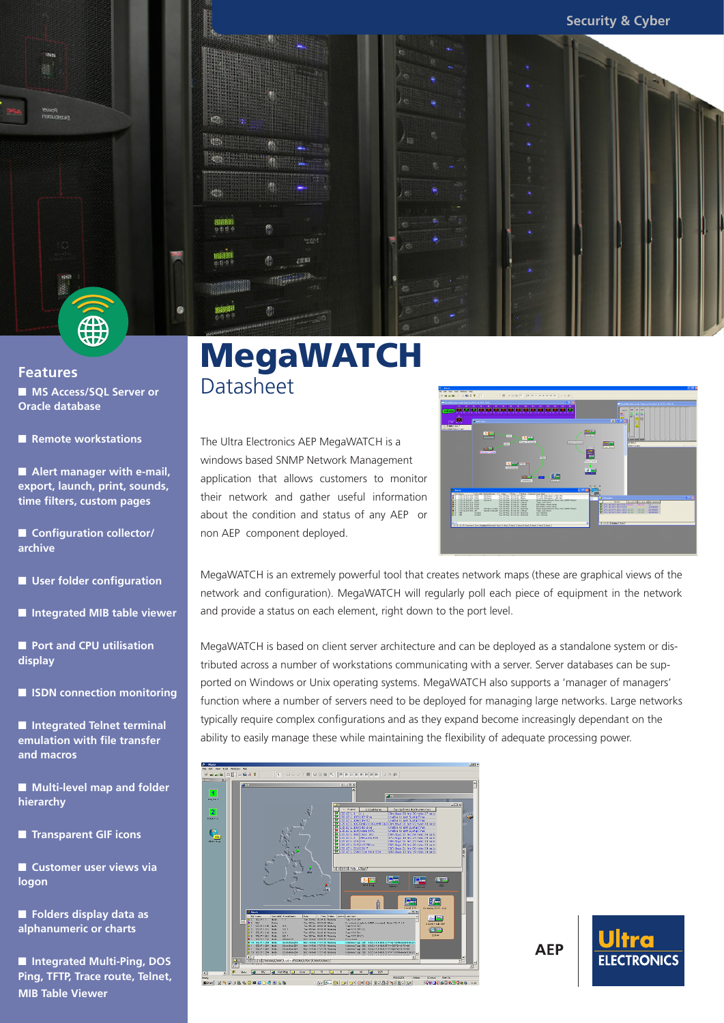

#### **Features** ■ **MS Access/SOL Server or Oracle database**

■ **Remote workstations** 

■ Alert manager with e-mail, **export, launch, print, sounds, time filters, custom pages**

■ **Configuration collector/ archive**

■ **User folder configuration**

■ **Integrated MIB table viewer** 

■ **Port and CPU utilisation display**

■ **ISDN** connection monitoring

■ **Integrated Telnet terminal emulation with file transfer and macros**

■ **Multi-level map and folder hierarchy**

■ **Transparent GIF icons**

■ **Customer user views via logon**

■ **Folders display data as alphanumeric or charts**

■ **Integrated Multi-Ping, DOS Ping, TFTP, Trace route, Telnet, MIB Table Viewer**

# MegaWATCH **Datasheet**

The Ultra Electronics AEP MegaWATCH is a windows based SNMP Network Management application that allows customers to monitor their network and gather useful information about the condition and status of any AEP or non AEP component deployed.



MegaWATCH is an extremely powerful tool that creates network maps (these are graphical views of the network and configuration). MegaWATCH will regularly poll each piece of equipment in the network and provide a status on each element, right down to the port level.

MegaWATCH is based on client server architecture and can be deployed as a standalone system or distributed across a number of workstations communicating with a server. Server databases can be supported on Windows or Unix operating systems. MegaWATCH also supports a 'manager of managers' function where a number of servers need to be deployed for managing large networks. Large networks typically require complex configurations and as they expand become increasingly dependant on the ability to easily manage these while maintaining the flexibility of adequate processing power.



**AEP**